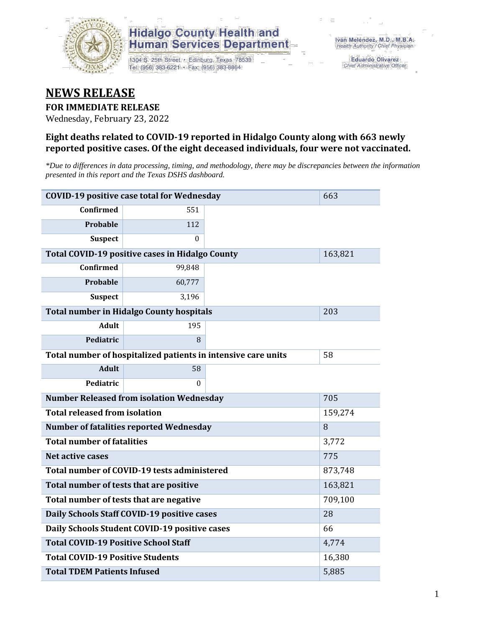

1304 S. 25th Street · Edinburg, Texas 78539 Tel: (956) 383-6221 · Fax: (956) 383-8864

**Eduardo Olivarez** Chief Administrative Officer

#### **NEWS RELEASE**

#### **FOR IMMEDIATE RELEASE**

Wednesday, February 23, 2022

#### **Eight deaths related to COVID-19 reported in Hidalgo County along with 663 newly reported positive cases. Of the eight deceased individuals, four were not vaccinated.**

*\*Due to differences in data processing, timing, and methodology, there may be discrepancies between the information presented in this report and the Texas DSHS dashboard.*

| <b>COVID-19 positive case total for Wednesday</b> | 663                                                           |       |         |  |  |  |  |  |
|---------------------------------------------------|---------------------------------------------------------------|-------|---------|--|--|--|--|--|
| <b>Confirmed</b>                                  | 551                                                           |       |         |  |  |  |  |  |
| <b>Probable</b>                                   | 112                                                           |       |         |  |  |  |  |  |
| <b>Suspect</b>                                    | $\Omega$                                                      |       |         |  |  |  |  |  |
|                                                   | Total COVID-19 positive cases in Hidalgo County               |       |         |  |  |  |  |  |
| Confirmed                                         | 99,848                                                        |       |         |  |  |  |  |  |
| Probable                                          | 60,777                                                        |       |         |  |  |  |  |  |
| <b>Suspect</b>                                    | 3,196                                                         |       |         |  |  |  |  |  |
|                                                   | <b>Total number in Hidalgo County hospitals</b>               |       | 203     |  |  |  |  |  |
| <b>Adult</b>                                      | 195                                                           |       |         |  |  |  |  |  |
| Pediatric                                         | 8                                                             |       |         |  |  |  |  |  |
|                                                   | Total number of hospitalized patients in intensive care units |       |         |  |  |  |  |  |
| <b>Adult</b>                                      | 58                                                            |       |         |  |  |  |  |  |
| Pediatric                                         | 0                                                             |       |         |  |  |  |  |  |
|                                                   | <b>Number Released from isolation Wednesday</b>               |       | 705     |  |  |  |  |  |
| <b>Total released from isolation</b>              |                                                               |       | 159,274 |  |  |  |  |  |
|                                                   | Number of fatalities reported Wednesday                       |       | 8       |  |  |  |  |  |
| <b>Total number of fatalities</b>                 |                                                               |       | 3,772   |  |  |  |  |  |
| <b>Net active cases</b>                           |                                                               |       | 775     |  |  |  |  |  |
|                                                   | Total number of COVID-19 tests administered                   |       | 873,748 |  |  |  |  |  |
| Total number of tests that are positive           |                                                               |       | 163,821 |  |  |  |  |  |
|                                                   | Total number of tests that are negative                       |       | 709,100 |  |  |  |  |  |
|                                                   | Daily Schools Staff COVID-19 positive cases                   |       | 28      |  |  |  |  |  |
|                                                   | Daily Schools Student COVID-19 positive cases                 |       | 66      |  |  |  |  |  |
| <b>Total COVID-19 Positive School Staff</b>       |                                                               |       | 4,774   |  |  |  |  |  |
| <b>Total COVID-19 Positive Students</b>           | 16,380                                                        |       |         |  |  |  |  |  |
| <b>Total TDEM Patients Infused</b>                |                                                               | 5,885 |         |  |  |  |  |  |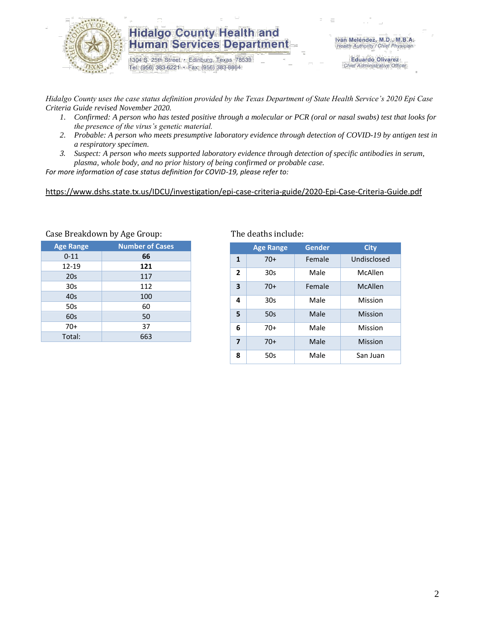

1304 S. 25th Street · Edinburg, Texas 78539 Tel: (956) 383-6221 · Fax: (956) 383-8864

**Eduardo Olivarez** Chief Administrative Officer

*Hidalgo County uses the case status definition provided by the Texas Department of State Health Service's 2020 Epi Case Criteria Guide revised November 2020.*

- *1. Confirmed: A person who has tested positive through a molecular or PCR (oral or nasal swabs) test that looks for the presence of the virus's genetic material.*
- *2. Probable: A person who meets presumptive laboratory evidence through detection of COVID-19 by antigen test in a respiratory specimen.*
- *3. Suspect: A person who meets supported laboratory evidence through detection of specific antibodies in serum, plasma, whole body, and no prior history of being confirmed or probable case.*

*For more information of case status definition for COVID-19, please refer to:*

<https://www.dshs.state.tx.us/IDCU/investigation/epi-case-criteria-guide/2020-Epi-Case-Criteria-Guide.pdf>

|                  | ╯<br>ັ                 |
|------------------|------------------------|
| <b>Age Range</b> | <b>Number of Cases</b> |
| $0 - 11$         | 66                     |
| 12-19            | 121                    |
| 20s              | 117                    |
| 30 <sub>s</sub>  | 112                    |
| 40s              | 100                    |
| 50s              | 60                     |
| 60s              | 50                     |
| $70+$            | 37                     |
| Total:           | 663                    |
|                  |                        |

Case Breakdown by Age Group: The deaths include:

|                         | <b>Age Range</b> | Gender | <b>City</b> |
|-------------------------|------------------|--------|-------------|
| 1                       | $70+$            | Female | Undisclosed |
| $\overline{2}$          | 30s              | Male   | McAllen     |
| 3                       | $70+$            | Female | McAllen     |
| 4                       | 30s              | Male   | Mission     |
| 5                       | 50s              | Male   | Mission     |
| 6                       | $70+$            | Male   | Mission     |
| $\overline{\mathbf{z}}$ | $70+$            | Male   | Mission     |
| 8                       | 50s              | Male   | San Juan    |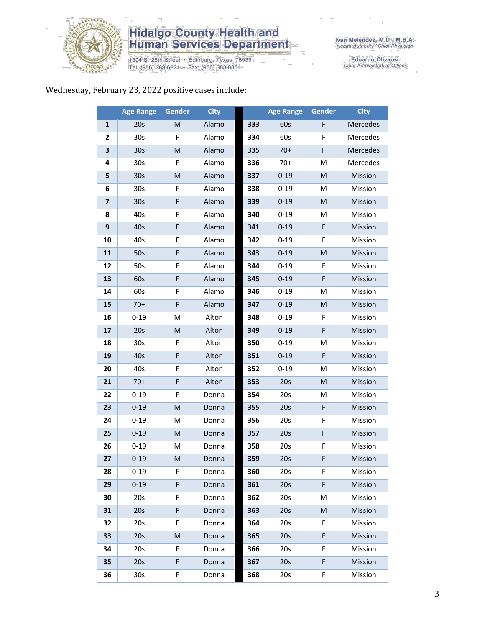

1304 S. 25th Street • Edinburg, Texas 78539<br>Tel: (956) 383-6221 • Fax: (956) 383-8864

Eduardo Olivarez<br>Chief Administrative Officer

#### Wednesday, February 23, 2022 positive cases include:

|    | <b>Age Range</b> | Gender | <b>City</b> |     | <b>Age Range</b> | Gender    | <b>City</b> |
|----|------------------|--------|-------------|-----|------------------|-----------|-------------|
| 1  | 20s              | M      | Alamo       | 333 | 60s              | F         | Mercedes    |
| 2  | 30s              | F      | Alamo       | 334 | 60s              | F         | Mercedes    |
| 3  | 30 <sub>s</sub>  | M      | Alamo       | 335 | $70+$            | F         | Mercedes    |
| 4  | 30 <sub>s</sub>  | F      | Alamo       | 336 | $70+$            | M         | Mercedes    |
| 5  | 30 <sub>s</sub>  | M      | Alamo       | 337 | $0 - 19$         | M         | Mission     |
| 6  | 30 <sub>s</sub>  | F      | Alamo       | 338 | $0 - 19$         | M         | Mission     |
| 7  | 30 <sub>s</sub>  | F      | Alamo       | 339 | $0 - 19$         | ${\sf M}$ | Mission     |
| 8  | 40s              | F      | Alamo       | 340 | $0 - 19$         | M         | Mission     |
| 9  | 40s              | F      | Alamo       | 341 | $0 - 19$         | F         | Mission     |
| 10 | 40s              | F      | Alamo       | 342 | $0 - 19$         | F         | Mission     |
| 11 | 50s              | F      | Alamo       | 343 | $0 - 19$         | ${\sf M}$ | Mission     |
| 12 | 50s              | F      | Alamo       | 344 | $0 - 19$         | F         | Mission     |
| 13 | 60s              | F      | Alamo       | 345 | $0 - 19$         | F         | Mission     |
| 14 | 60s              | F      | Alamo       | 346 | $0 - 19$         | M         | Mission     |
| 15 | $70+$            | F      | Alamo       | 347 | $0 - 19$         | ${\sf M}$ | Mission     |
| 16 | $0 - 19$         | M      | Alton       | 348 | $0 - 19$         | F         | Mission     |
| 17 | 20s              | M      | Alton       | 349 | $0 - 19$         | F         | Mission     |
| 18 | 30 <sub>s</sub>  | F      | Alton       | 350 | $0 - 19$         | M         | Mission     |
| 19 | 40s              | F      | Alton       | 351 | $0 - 19$         | F         | Mission     |
| 20 | 40s              | F      | Alton       | 352 | $0 - 19$         | M         | Mission     |
| 21 | $70+$            | F      | Alton       | 353 | 20s              | ${\sf M}$ | Mission     |
| 22 | $0 - 19$         | F      | Donna       | 354 | 20s              | M         | Mission     |
| 23 | $0 - 19$         | M      | Donna       | 355 | 20s              | F         | Mission     |
| 24 | $0 - 19$         | M      | Donna       | 356 | 20s              | F         | Mission     |
| 25 | $0 - 19$         | M      | Donna       | 357 | 20s              | F         | Mission     |
| 26 | $0 - 19$         | M      | Donna       | 358 | 20s              | F         | Mission     |
| 27 | $0 - 19$         | M      | Donna       | 359 | 20s              | F         | Mission     |
| 28 | $0 - 19$         | F.     | Donna       | 360 | 20s              | F         | Mission     |
| 29 | $0 - 19$         | F      | Donna       | 361 | 20s              | F         | Mission     |
| 30 | 20s              | F      | Donna       | 362 | 20s              | M         | Mission     |
| 31 | 20s              | F      | Donna       | 363 | 20s              | M         | Mission     |
| 32 | 20s              | F      | Donna       | 364 | 20s              | F         | Mission     |
| 33 | 20s              | M      | Donna       | 365 | 20s              | F         | Mission     |
| 34 | 20s              | F      | Donna       | 366 | 20s              | F         | Mission     |
| 35 | 20s              | F      | Donna       | 367 | 20s              | F         | Mission     |
| 36 | 30 <sub>s</sub>  | F      | Donna       | 368 | 20s              | F         | Mission     |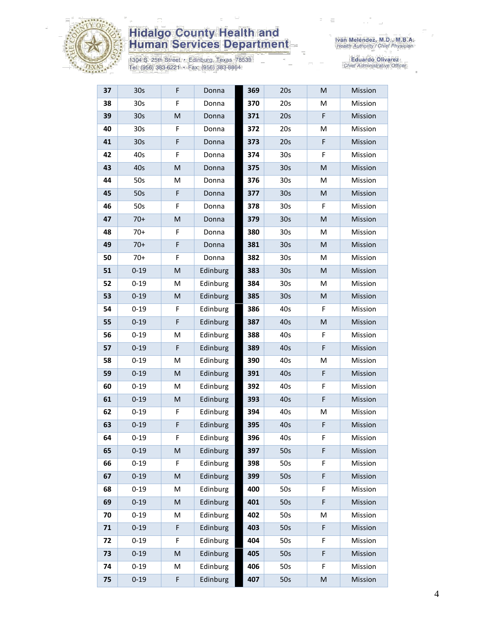

1304 S. 25th Street • Edinburg, Texas 78539<br>Tel: (956) 383-6221 • Fax: (956) 383-8864

| 37 | 30 <sub>s</sub> | F | Donna    | 369 | 20s             | M                                                                                                          | Mission |
|----|-----------------|---|----------|-----|-----------------|------------------------------------------------------------------------------------------------------------|---------|
| 38 | 30s             | F | Donna    | 370 | 20s             | M                                                                                                          | Mission |
| 39 | 30 <sub>s</sub> | M | Donna    | 371 | 20s             | F                                                                                                          | Mission |
| 40 | 30 <sub>s</sub> | F | Donna    | 372 | 20s             | M                                                                                                          | Mission |
| 41 | 30 <sub>s</sub> | F | Donna    | 373 | 20s             | F                                                                                                          | Mission |
| 42 | 40s             | F | Donna    | 374 | 30s             | F                                                                                                          | Mission |
| 43 | 40s             | M | Donna    | 375 | 30 <sub>s</sub> | M                                                                                                          | Mission |
| 44 | 50s             | M | Donna    | 376 | 30s             | M                                                                                                          | Mission |
| 45 | 50s             | F | Donna    | 377 | 30 <sub>s</sub> | M                                                                                                          | Mission |
| 46 | 50s             | F | Donna    | 378 | 30 <sub>s</sub> | F.                                                                                                         | Mission |
| 47 | $70+$           | M | Donna    | 379 | 30 <sub>s</sub> | M                                                                                                          | Mission |
| 48 | $70+$           | F | Donna    | 380 | 30s             | M                                                                                                          | Mission |
| 49 | $70+$           | F | Donna    | 381 | 30 <sub>s</sub> | M                                                                                                          | Mission |
| 50 | $70+$           | F | Donna    | 382 | 30s             | M                                                                                                          | Mission |
| 51 | $0 - 19$        | M | Edinburg | 383 | 30 <sub>s</sub> | M                                                                                                          | Mission |
| 52 | $0 - 19$        | М | Edinburg | 384 | 30s             | M                                                                                                          | Mission |
| 53 | $0 - 19$        | M | Edinburg | 385 | 30 <sub>s</sub> | M                                                                                                          | Mission |
| 54 | $0 - 19$        | F | Edinburg | 386 | 40s             | F                                                                                                          | Mission |
| 55 | $0 - 19$        | F | Edinburg | 387 | 40s             | M                                                                                                          | Mission |
| 56 | $0 - 19$        | M | Edinburg | 388 | 40s             | F                                                                                                          | Mission |
| 57 | $0 - 19$        | F | Edinburg | 389 | 40s             | F                                                                                                          | Mission |
| 58 | $0 - 19$        | M | Edinburg | 390 | 40s             | M                                                                                                          | Mission |
| 59 | $0 - 19$        | M | Edinburg | 391 | 40s             | F                                                                                                          | Mission |
| 60 | $0 - 19$        | М | Edinburg | 392 | 40s             | F                                                                                                          | Mission |
| 61 | $0 - 19$        | M | Edinburg | 393 | 40s             | F                                                                                                          | Mission |
| 62 | $0 - 19$        | F | Edinburg | 394 | 40s             | M                                                                                                          | Mission |
| 63 | $0 - 19$        | F | Edinburg | 395 | 40s             | F                                                                                                          | Mission |
| 64 | $0 - 19$        | F | Edinburg | 396 | 40s             | F                                                                                                          | Mission |
| 65 | $0 - 19$        | M | Edinburg | 397 | 50s             | F                                                                                                          | Mission |
| 66 | $0 - 19$        | F | Edinburg | 398 | 50s             | F                                                                                                          | Mission |
| 67 | $0 - 19$        | M | Edinburg | 399 | 50s             | F                                                                                                          | Mission |
| 68 | $0 - 19$        | M | Edinburg | 400 | 50s             | F                                                                                                          | Mission |
| 69 | $0 - 19$        | M | Edinburg | 401 | 50s             | F                                                                                                          | Mission |
| 70 | $0 - 19$        | М | Edinburg | 402 | 50s             | Μ                                                                                                          | Mission |
| 71 | $0 - 19$        | F | Edinburg | 403 | 50s             | F                                                                                                          | Mission |
| 72 | $0 - 19$        | F | Edinburg | 404 | 50s             | F                                                                                                          | Mission |
| 73 | $0 - 19$        | M | Edinburg | 405 | 50s             | F                                                                                                          | Mission |
| 74 | $0 - 19$        | M | Edinburg | 406 | 50s             | F                                                                                                          | Mission |
| 75 | $0 - 19$        | F | Edinburg | 407 | 50s             | $\mathsf{M}% _{T}=\mathsf{M}_{T}\!\left( a,b\right) ,\ \mathsf{M}_{T}=\mathsf{M}_{T}\!\left( a,b\right) ,$ | Mission |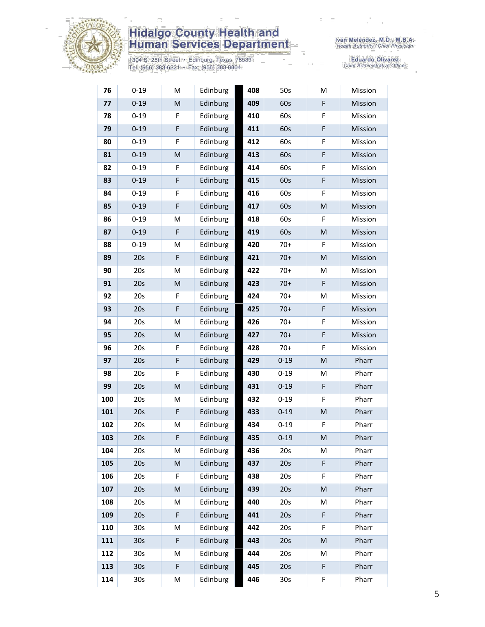

1304 S. 25th Street • Edinburg, Texas 78539<br>Tel: (956) 383-6221 • Fax: (956) 383-8864

Iván Meléndez, M.D., M.B.A.<br>Health Authority / Chief Physician

| 76  | $0 - 19$        | M | Edinburg | 408 | 50s             | M                                                                                                          | Mission |
|-----|-----------------|---|----------|-----|-----------------|------------------------------------------------------------------------------------------------------------|---------|
| 77  | $0 - 19$        | M | Edinburg | 409 | 60s             | F                                                                                                          | Mission |
| 78  | $0 - 19$        | F | Edinburg | 410 | 60s             | F                                                                                                          | Mission |
| 79  | $0 - 19$        | F | Edinburg | 411 | 60s             | F                                                                                                          | Mission |
| 80  | $0 - 19$        | F | Edinburg | 412 | 60s             | F                                                                                                          | Mission |
| 81  | $0 - 19$        | M | Edinburg | 413 | 60s             | F                                                                                                          | Mission |
| 82  | $0 - 19$        | F | Edinburg | 414 | 60s             | F                                                                                                          | Mission |
| 83  | $0 - 19$        | F | Edinburg | 415 | 60s             | F                                                                                                          | Mission |
| 84  | $0 - 19$        | F | Edinburg | 416 | 60s             | F                                                                                                          | Mission |
| 85  | $0 - 19$        | F | Edinburg | 417 | 60s             | M                                                                                                          | Mission |
| 86  | $0 - 19$        | M | Edinburg | 418 | 60s             | F                                                                                                          | Mission |
| 87  | $0 - 19$        | F | Edinburg | 419 | 60s             | M                                                                                                          | Mission |
| 88  | $0 - 19$        | M | Edinburg | 420 | $70+$           | F.                                                                                                         | Mission |
| 89  | 20s             | F | Edinburg | 421 | $70+$           | M                                                                                                          | Mission |
| 90  | 20s             | M | Edinburg | 422 | $70+$           | M                                                                                                          | Mission |
| 91  | 20s             | M | Edinburg | 423 | $70+$           | F                                                                                                          | Mission |
| 92  | 20s             | F | Edinburg | 424 | $70+$           | M                                                                                                          | Mission |
| 93  | 20s             | F | Edinburg | 425 | $70+$           | F                                                                                                          | Mission |
| 94  | 20s             | M | Edinburg | 426 | $70+$           | F                                                                                                          | Mission |
| 95  | 20s             | M | Edinburg | 427 | $70+$           | F                                                                                                          | Mission |
| 96  | 20s             | F | Edinburg | 428 | $70+$           | F                                                                                                          | Mission |
| 97  | 20s             | F | Edinburg | 429 | $0 - 19$        | M                                                                                                          | Pharr   |
| 98  | 20s             | F | Edinburg | 430 | $0 - 19$        | M                                                                                                          | Pharr   |
| 99  | 20s             | M | Edinburg | 431 | $0 - 19$        | F                                                                                                          | Pharr   |
| 100 | 20s             | M | Edinburg | 432 | $0 - 19$        | F                                                                                                          | Pharr   |
| 101 | 20s             | F | Edinburg | 433 | $0 - 19$        | M                                                                                                          | Pharr   |
| 102 | 20s             | M | Edinburg | 434 | $0 - 19$        | F                                                                                                          | Pharr   |
| 103 | 20s             | F | Edinburg | 435 | $0 - 19$        | M                                                                                                          | Pharr   |
| 104 | 20s             | М | Edinburg | 436 | 20s             | М                                                                                                          | Pharr   |
| 105 | 20s             | M | Edinburg | 437 | 20s             | F                                                                                                          | Pharr   |
| 106 | 20s             | F | Edinburg | 438 | 20s             | F                                                                                                          | Pharr   |
| 107 | 20s             | M | Edinburg | 439 | 20s             | $\mathsf{M}% _{T}=\mathsf{M}_{T}\!\left( a,b\right) ,\ \mathsf{M}_{T}=\mathsf{M}_{T}\!\left( a,b\right) ,$ | Pharr   |
| 108 | 20s             | M | Edinburg | 440 | 20s             | M                                                                                                          | Pharr   |
| 109 | 20s             | F | Edinburg | 441 | 20s             | F                                                                                                          | Pharr   |
| 110 | 30 <sub>s</sub> | M | Edinburg | 442 | 20s             | F                                                                                                          | Pharr   |
| 111 | 30 <sub>s</sub> | F | Edinburg | 443 | 20s             | M                                                                                                          | Pharr   |
| 112 | 30s             | Μ | Edinburg | 444 | 20s             | M                                                                                                          | Pharr   |
| 113 | 30 <sub>s</sub> | F | Edinburg | 445 | 20s             | F                                                                                                          | Pharr   |
| 114 | 30 <sub>s</sub> | М | Edinburg | 446 | 30 <sub>s</sub> | F                                                                                                          | Pharr   |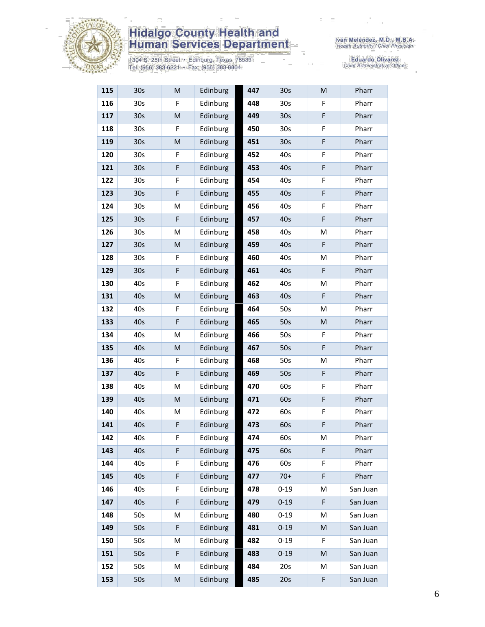

1304 S. 25th Street • Edinburg, Texas 78539<br>Tel: (956) 383-6221 • Fax: (956) 383-8864

| 115 | 30 <sub>s</sub> | M                                                                                                          | Edinburg | 447 | 30 <sub>s</sub> | M         | Pharr    |
|-----|-----------------|------------------------------------------------------------------------------------------------------------|----------|-----|-----------------|-----------|----------|
| 116 | 30 <sub>s</sub> | F.                                                                                                         | Edinburg | 448 | 30 <sub>s</sub> | F         | Pharr    |
| 117 | 30 <sub>s</sub> | M                                                                                                          | Edinburg | 449 | 30 <sub>s</sub> | F         | Pharr    |
| 118 | 30s             | F                                                                                                          | Edinburg | 450 | 30 <sub>s</sub> | F         | Pharr    |
| 119 | 30 <sub>s</sub> | $\mathsf{M}% _{T}=\mathsf{M}_{T}\!\left( a,b\right) ,\ \mathsf{M}_{T}=\mathsf{M}_{T}\!\left( a,b\right) ,$ | Edinburg | 451 | 30 <sub>s</sub> | F         | Pharr    |
| 120 | 30 <sub>s</sub> | F                                                                                                          | Edinburg | 452 | 40s             | F         | Pharr    |
| 121 | 30 <sub>s</sub> | F                                                                                                          | Edinburg | 453 | 40s             | F         | Pharr    |
| 122 | 30 <sub>s</sub> | F                                                                                                          | Edinburg | 454 | 40s             | F         | Pharr    |
| 123 | 30 <sub>s</sub> | $\mathsf F$                                                                                                | Edinburg | 455 | 40s             | F         | Pharr    |
| 124 | 30s             | M                                                                                                          | Edinburg | 456 | 40s             | F         | Pharr    |
| 125 | 30 <sub>s</sub> | F                                                                                                          | Edinburg | 457 | 40s             | F         | Pharr    |
| 126 | 30s             | M                                                                                                          | Edinburg | 458 | 40s             | M         | Pharr    |
| 127 | 30 <sub>s</sub> | M                                                                                                          | Edinburg | 459 | 40s             | F         | Pharr    |
| 128 | 30 <sub>s</sub> | F                                                                                                          | Edinburg | 460 | 40s             | M         | Pharr    |
| 129 | 30 <sub>s</sub> | $\mathsf F$                                                                                                | Edinburg | 461 | 40s             | F         | Pharr    |
| 130 | 40s             | F                                                                                                          | Edinburg | 462 | 40s             | M         | Pharr    |
| 131 | 40s             | $\mathsf{M}% _{T}=\mathsf{M}_{T}\!\left( a,b\right) ,\ \mathsf{M}_{T}=\mathsf{M}_{T}\!\left( a,b\right) ,$ | Edinburg | 463 | 40s             | F         | Pharr    |
| 132 | 40s             | F                                                                                                          | Edinburg | 464 | 50s             | M         | Pharr    |
| 133 | 40s             | $\mathsf F$                                                                                                | Edinburg | 465 | 50s             | ${\sf M}$ | Pharr    |
| 134 | 40s             | M                                                                                                          | Edinburg | 466 | 50s             | F         | Pharr    |
| 135 | 40s             | M                                                                                                          | Edinburg | 467 | 50s             | F         | Pharr    |
| 136 | 40s             | F                                                                                                          | Edinburg | 468 | 50s             | M         | Pharr    |
| 137 | 40s             | F                                                                                                          | Edinburg | 469 | 50s             | F         | Pharr    |
| 138 | 40s             | M                                                                                                          | Edinburg | 470 | 60s             | F         | Pharr    |
| 139 | 40s             | M                                                                                                          | Edinburg | 471 | 60s             | F         | Pharr    |
| 140 | 40s             | M                                                                                                          | Edinburg | 472 | 60s             | F         | Pharr    |
| 141 | 40s             | $\mathsf F$                                                                                                | Edinburg | 473 | 60s             | F         | Pharr    |
| 142 | 40s             | F                                                                                                          | Edinburg | 474 | 60s             | M         | Pharr    |
| 143 | 40s             | F                                                                                                          | Edinburg | 475 | 60s             | F         | Pharr    |
| 144 | 40s             | F                                                                                                          | Edinburg | 476 | 60s             | F         | Pharr    |
| 145 | 40s             | F                                                                                                          | Edinburg | 477 | $70+$           | F         | Pharr    |
| 146 | 40s             | F                                                                                                          | Edinburg | 478 | $0 - 19$        | M         | San Juan |
| 147 | 40s             | $\mathsf F$                                                                                                | Edinburg | 479 | $0 - 19$        | F         | San Juan |
| 148 | 50s             | M                                                                                                          | Edinburg | 480 | $0 - 19$        | M         | San Juan |
| 149 | 50s             | F                                                                                                          | Edinburg | 481 | $0 - 19$        | M         | San Juan |
| 150 | 50s             | M                                                                                                          | Edinburg | 482 | $0 - 19$        | F         | San Juan |
| 151 | 50s             | F                                                                                                          | Edinburg | 483 | $0 - 19$        | M         | San Juan |
| 152 | 50s             | M                                                                                                          | Edinburg | 484 | 20s             | M         | San Juan |
| 153 | 50s             | M                                                                                                          | Edinburg | 485 | 20s             | F         | San Juan |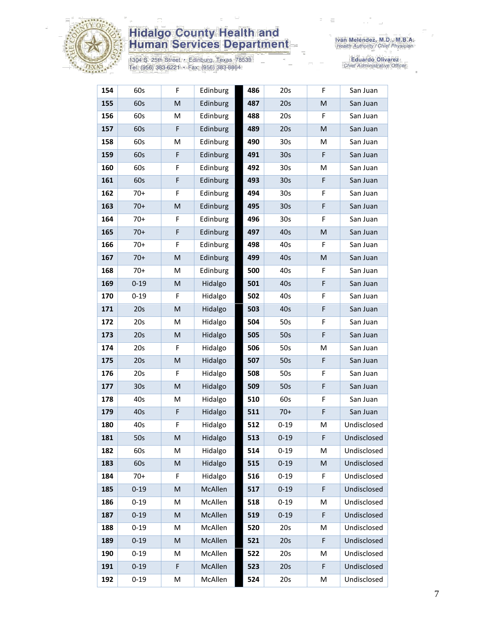

1304 S. 25th Street • Edinburg, Texas 78539<br>Tel: (956) 383-6221 • Fax: (956) 383-8864

| 154 | 60s             | F                                                                                                          | Edinburg | 486 | 20s             | F                                                                                                          | San Juan    |
|-----|-----------------|------------------------------------------------------------------------------------------------------------|----------|-----|-----------------|------------------------------------------------------------------------------------------------------------|-------------|
| 155 | 60s             | $\mathsf{M}% _{T}=\mathsf{M}_{T}\!\left( a,b\right) ,\ \mathsf{M}_{T}=\mathsf{M}_{T}\!\left( a,b\right) ,$ | Edinburg | 487 | 20s             | M                                                                                                          | San Juan    |
| 156 | 60s             | M                                                                                                          | Edinburg | 488 | 20s             | F                                                                                                          | San Juan    |
| 157 | 60s             | F                                                                                                          | Edinburg | 489 | 20s             | M                                                                                                          | San Juan    |
| 158 | 60s             | M                                                                                                          | Edinburg | 490 | 30 <sub>s</sub> | м                                                                                                          | San Juan    |
| 159 | 60s             | $\mathsf F$                                                                                                | Edinburg | 491 | 30 <sub>s</sub> | F                                                                                                          | San Juan    |
| 160 | 60s             | F                                                                                                          | Edinburg | 492 | 30 <sub>s</sub> | M                                                                                                          | San Juan    |
| 161 | 60s             | F                                                                                                          | Edinburg | 493 | 30 <sub>s</sub> | F                                                                                                          | San Juan    |
| 162 | $70+$           | F                                                                                                          | Edinburg | 494 | 30 <sub>s</sub> | F                                                                                                          | San Juan    |
| 163 | $70+$           | ${\sf M}$                                                                                                  | Edinburg | 495 | 30 <sub>s</sub> | F                                                                                                          | San Juan    |
| 164 | $70+$           | F                                                                                                          | Edinburg | 496 | 30 <sub>s</sub> | F                                                                                                          | San Juan    |
| 165 | $70+$           | F                                                                                                          | Edinburg | 497 | 40s             | M                                                                                                          | San Juan    |
| 166 | $70+$           | F                                                                                                          | Edinburg | 498 | 40s             | F                                                                                                          | San Juan    |
| 167 | $70+$           | M                                                                                                          | Edinburg | 499 | 40s             | M                                                                                                          | San Juan    |
| 168 | $70+$           | M                                                                                                          | Edinburg | 500 | 40s             | F                                                                                                          | San Juan    |
| 169 | $0 - 19$        | M                                                                                                          | Hidalgo  | 501 | 40s             | F                                                                                                          | San Juan    |
| 170 | $0 - 19$        | F                                                                                                          | Hidalgo  | 502 | 40s             | F                                                                                                          | San Juan    |
| 171 | 20s             | M                                                                                                          | Hidalgo  | 503 | 40s             | F                                                                                                          | San Juan    |
| 172 | 20s             | M                                                                                                          | Hidalgo  | 504 | 50s             | F                                                                                                          | San Juan    |
| 173 | 20s             | M                                                                                                          | Hidalgo  | 505 | 50s             | F                                                                                                          | San Juan    |
| 174 | 20s             | F                                                                                                          | Hidalgo  | 506 | 50s             | M                                                                                                          | San Juan    |
| 175 | 20s             | M                                                                                                          | Hidalgo  | 507 | 50s             | F                                                                                                          | San Juan    |
| 176 | 20s             | F                                                                                                          | Hidalgo  | 508 | 50s             | F                                                                                                          | San Juan    |
| 177 | 30 <sub>s</sub> | ${\sf M}$                                                                                                  | Hidalgo  | 509 | 50s             | F                                                                                                          | San Juan    |
| 178 | 40s             | M                                                                                                          | Hidalgo  | 510 | 60s             | F                                                                                                          | San Juan    |
| 179 | 40s             | F                                                                                                          | Hidalgo  | 511 | $70+$           | F                                                                                                          | San Juan    |
| 180 | 40s             | F                                                                                                          | Hidalgo  | 512 | $0 - 19$        | M                                                                                                          | Undisclosed |
| 181 | 50s             | M                                                                                                          | Hidalgo  | 513 | $0 - 19$        | F                                                                                                          | Undisclosed |
| 182 | 60s             | М                                                                                                          | Hidalgo  | 514 | $0 - 19$        | м                                                                                                          | Undisclosed |
| 183 | 60s             | ${\sf M}$                                                                                                  | Hidalgo  | 515 | $0 - 19$        | $\mathsf{M}% _{T}=\mathsf{M}_{T}\!\left( a,b\right) ,\ \mathsf{M}_{T}=\mathsf{M}_{T}\!\left( a,b\right) ,$ | Undisclosed |
| 184 | $70+$           | F                                                                                                          | Hidalgo  | 516 | $0 - 19$        | F                                                                                                          | Undisclosed |
| 185 | $0 - 19$        | M                                                                                                          | McAllen  | 517 | $0 - 19$        | F                                                                                                          | Undisclosed |
| 186 | $0 - 19$        | M                                                                                                          | McAllen  | 518 | $0 - 19$        | M                                                                                                          | Undisclosed |
| 187 | $0 - 19$        | M                                                                                                          | McAllen  | 519 | $0 - 19$        | F                                                                                                          | Undisclosed |
| 188 | $0 - 19$        | M                                                                                                          | McAllen  | 520 | 20s             | M                                                                                                          | Undisclosed |
| 189 | $0 - 19$        | ${\sf M}$                                                                                                  | McAllen  | 521 | 20s             | F                                                                                                          | Undisclosed |
| 190 | $0 - 19$        | M                                                                                                          | McAllen  | 522 | 20s             | M                                                                                                          | Undisclosed |
| 191 | $0 - 19$        | F                                                                                                          | McAllen  | 523 | 20s             | F                                                                                                          | Undisclosed |
| 192 | $0 - 19$        | М                                                                                                          | McAllen  | 524 | 20s             | M                                                                                                          | Undisclosed |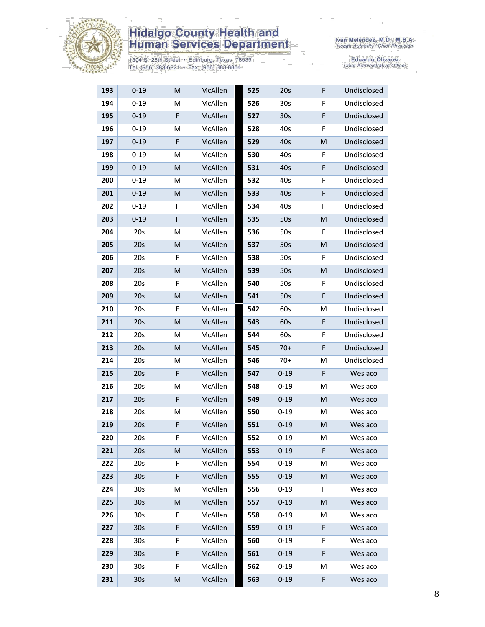

1304 S. 25th Street • Edinburg, Texas 78539<br>Tel: (956) 383-6221 • Fax: (956) 383-8864

Iván Meléndez, M.D., M.B.A.<br>Health Authority / Chief Physician

| 193 | $0 - 19$        | M  | McAllen | 525 | 20s             | F | Undisclosed |
|-----|-----------------|----|---------|-----|-----------------|---|-------------|
| 194 | $0 - 19$        | M  | McAllen | 526 | 30s             | F | Undisclosed |
| 195 | $0 - 19$        | F  | McAllen | 527 | 30 <sub>s</sub> | F | Undisclosed |
| 196 | $0 - 19$        | M  | McAllen | 528 | 40s             | F | Undisclosed |
| 197 | $0 - 19$        | F  | McAllen | 529 | 40s             | M | Undisclosed |
| 198 | $0 - 19$        | M  | McAllen | 530 | 40s             | F | Undisclosed |
| 199 | $0 - 19$        | M  | McAllen | 531 | 40s             | F | Undisclosed |
| 200 | $0 - 19$        | М  | McAllen | 532 | 40s             | F | Undisclosed |
| 201 | $0 - 19$        | M  | McAllen | 533 | 40s             | F | Undisclosed |
| 202 | $0 - 19$        | F  | McAllen | 534 | 40s             | F | Undisclosed |
| 203 | $0 - 19$        | F  | McAllen | 535 | 50s             | M | Undisclosed |
| 204 | 20s             | M  | McAllen | 536 | 50s             | F | Undisclosed |
| 205 | 20s             | M  | McAllen | 537 | 50s             | M | Undisclosed |
| 206 | 20s             | F  | McAllen | 538 | 50s             | F | Undisclosed |
| 207 | 20s             | M  | McAllen | 539 | 50s             | M | Undisclosed |
| 208 | 20s             | F  | McAllen | 540 | 50s             | F | Undisclosed |
| 209 | 20s             | M  | McAllen | 541 | 50s             | F | Undisclosed |
| 210 | 20s             | F  | McAllen | 542 | 60s             | M | Undisclosed |
| 211 | 20s             | M  | McAllen | 543 | 60s             | F | Undisclosed |
| 212 | 20s             | М  | McAllen | 544 | 60s             | F | Undisclosed |
| 213 | 20s             | M  | McAllen | 545 | $70+$           | F | Undisclosed |
| 214 | 20s             | M  | McAllen | 546 | $70+$           | M | Undisclosed |
| 215 | 20s             | F  | McAllen | 547 | $0 - 19$        | F | Weslaco     |
| 216 | 20s             | М  | McAllen | 548 | $0 - 19$        | M | Weslaco     |
| 217 | 20s             | F  | McAllen | 549 | $0 - 19$        | M | Weslaco     |
| 218 | 20s             | M  | McAllen | 550 | $0 - 19$        | м | Weslaco     |
| 219 | 20s             | F  | McAllen | 551 | $0 - 19$        | M | Weslaco     |
| 220 | 20s             | F  | McAllen | 552 | $0 - 19$        | M | Weslaco     |
| 221 | 20s             | M  | McAllen | 553 | $0 - 19$        | F | Weslaco     |
| 222 | 20s             | F  | McAllen | 554 | $0 - 19$        | M | Weslaco     |
| 223 | 30 <sub>s</sub> | F  | McAllen | 555 | $0 - 19$        | M | Weslaco     |
| 224 | 30 <sub>s</sub> | M  | McAllen | 556 | $0 - 19$        | F | Weslaco     |
| 225 | 30 <sub>s</sub> | M  | McAllen | 557 | $0 - 19$        | M | Weslaco     |
| 226 | 30 <sub>s</sub> | F  | McAllen | 558 | $0 - 19$        | M | Weslaco     |
| 227 | 30s             | F  | McAllen | 559 | $0 - 19$        | F | Weslaco     |
| 228 | 30 <sub>s</sub> | F  | McAllen | 560 | $0 - 19$        | F | Weslaco     |
| 229 | 30 <sub>s</sub> | F  | McAllen | 561 | $0 - 19$        | F | Weslaco     |
| 230 | 30 <sub>s</sub> | F. | McAllen | 562 | $0 - 19$        | M | Weslaco     |
| 231 | 30 <sub>s</sub> | M  | McAllen | 563 | $0 - 19$        | F | Weslaco     |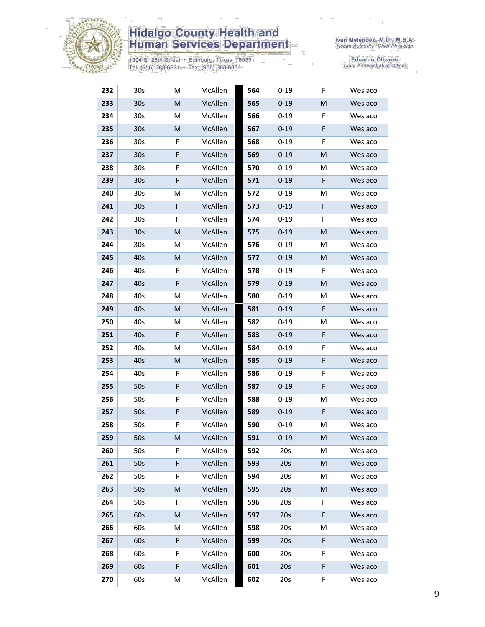

1304 S. 25th Street • Edinburg, Texas 78539<br>Tel: (956) 383-6221 • Fax: (956) 383-8864

| 232 | 30 <sub>s</sub> | М                                                                                                          | McAllen | 564 | $0 - 19$ | F. | Weslaco |
|-----|-----------------|------------------------------------------------------------------------------------------------------------|---------|-----|----------|----|---------|
| 233 | 30 <sub>s</sub> | M                                                                                                          | McAllen | 565 | $0 - 19$ | M  | Weslaco |
| 234 | 30 <sub>s</sub> | M                                                                                                          | McAllen | 566 | $0 - 19$ | F  | Weslaco |
| 235 | 30 <sub>s</sub> | M                                                                                                          | McAllen | 567 | $0 - 19$ | F  | Weslaco |
| 236 | 30 <sub>s</sub> | F                                                                                                          | McAllen | 568 | $0 - 19$ | F  | Weslaco |
| 237 | 30 <sub>s</sub> | $\mathsf F$                                                                                                | McAllen | 569 | $0 - 19$ | M  | Weslaco |
| 238 | 30 <sub>s</sub> | F                                                                                                          | McAllen | 570 | $0 - 19$ | M  | Weslaco |
| 239 | 30 <sub>s</sub> | $\mathsf F$                                                                                                | McAllen | 571 | $0 - 19$ | F  | Weslaco |
| 240 | 30 <sub>s</sub> | M                                                                                                          | McAllen | 572 | $0 - 19$ | м  | Weslaco |
| 241 | 30 <sub>s</sub> | $\mathsf F$                                                                                                | McAllen | 573 | $0 - 19$ | F  | Weslaco |
| 242 | 30 <sub>s</sub> | F                                                                                                          | McAllen | 574 | $0 - 19$ | F  | Weslaco |
| 243 | 30 <sub>s</sub> | $\mathsf{M}% _{T}=\mathsf{M}_{T}\!\left( a,b\right) ,\ \mathsf{M}_{T}=\mathsf{M}_{T}\!\left( a,b\right) ,$ | McAllen | 575 | $0 - 19$ | M  | Weslaco |
| 244 | 30 <sub>s</sub> | M                                                                                                          | McAllen | 576 | $0 - 19$ | M  | Weslaco |
| 245 | 40s             | M                                                                                                          | McAllen | 577 | $0 - 19$ | M  | Weslaco |
| 246 | 40s             | F                                                                                                          | McAllen | 578 | $0 - 19$ | F  | Weslaco |
| 247 | 40s             | F                                                                                                          | McAllen | 579 | $0 - 19$ | M  | Weslaco |
| 248 | 40s             | M                                                                                                          | McAllen | 580 | $0 - 19$ | M  | Weslaco |
| 249 | 40s             | M                                                                                                          | McAllen | 581 | $0 - 19$ | F  | Weslaco |
| 250 | 40s             | М                                                                                                          | McAllen | 582 | $0 - 19$ | M  | Weslaco |
| 251 | 40s             | F                                                                                                          | McAllen | 583 | $0 - 19$ | F  | Weslaco |
| 252 | 40s             | М                                                                                                          | McAllen | 584 | $0 - 19$ | F  | Weslaco |
| 253 | 40s             | M                                                                                                          | McAllen | 585 | $0 - 19$ | F  | Weslaco |
| 254 | 40s             | F                                                                                                          | McAllen | 586 | $0 - 19$ | F  | Weslaco |
| 255 | 50s             | $\mathsf F$                                                                                                | McAllen | 587 | $0 - 19$ | F  | Weslaco |
| 256 | 50s             | F                                                                                                          | McAllen | 588 | $0 - 19$ | M  | Weslaco |
| 257 | 50s             | F                                                                                                          | McAllen | 589 | $0 - 19$ | F  | Weslaco |
| 258 | 50s             | F                                                                                                          | McAllen | 590 | $0 - 19$ | M  | Weslaco |
| 259 | 50s             | M                                                                                                          | McAllen | 591 | $0 - 19$ | M  | Weslaco |
| 260 | 50s             | F                                                                                                          | McAllen | 592 | 20s      | M  | Weslaco |
| 261 | 50s             | F                                                                                                          | McAllen | 593 | 20s      | M  | Weslaco |
| 262 | 50s             | F                                                                                                          | McAllen | 594 | 20s      | M  | Weslaco |
| 263 | 50s             | M                                                                                                          | McAllen | 595 | 20s      | M  | Weslaco |
| 264 | 50s             | F                                                                                                          | McAllen | 596 | 20s      | F  | Weslaco |
| 265 | 60s             | M                                                                                                          | McAllen | 597 | 20s      | F  | Weslaco |
| 266 | 60s             | М                                                                                                          | McAllen | 598 | 20s      | М  | Weslaco |
| 267 | 60s             | F                                                                                                          | McAllen | 599 | 20s      | F  | Weslaco |
| 268 | 60s             | F                                                                                                          | McAllen | 600 | 20s      | F  | Weslaco |
| 269 | 60s             | F                                                                                                          | McAllen | 601 | 20s      | F  | Weslaco |
| 270 | 60s             | M                                                                                                          | McAllen | 602 | 20s      | F  | Weslaco |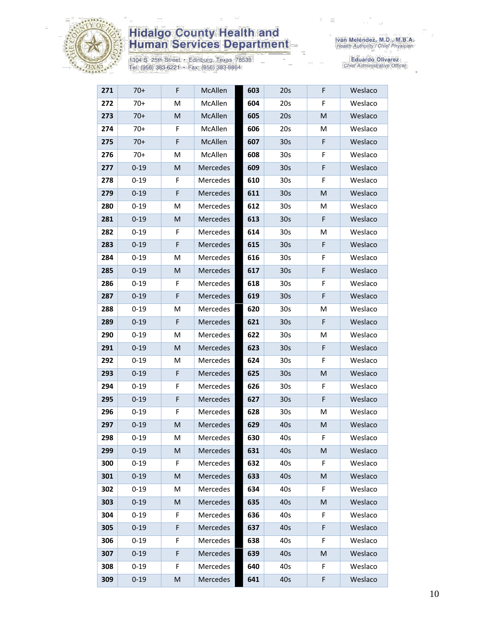

1304 S. 25th Street • Edinburg, Texas 78539<br>Tel: (956) 383-6221 • Fax: (956) 383-8864

| 271 | $70+$    | F           | McAllen         | 603 | 20s             | F | Weslaco |
|-----|----------|-------------|-----------------|-----|-----------------|---|---------|
| 272 | $70+$    | M           | McAllen         | 604 | 20s             | F | Weslaco |
| 273 | $70+$    | M           | McAllen         | 605 | 20s             | M | Weslaco |
| 274 | $70+$    | F           | McAllen         | 606 | 20s             | M | Weslaco |
| 275 | $70+$    | $\mathsf F$ | McAllen         | 607 | 30 <sub>s</sub> | F | Weslaco |
| 276 | $70+$    | М           | McAllen         | 608 | 30 <sub>s</sub> | F | Weslaco |
| 277 | $0 - 19$ | ${\sf M}$   | Mercedes        | 609 | 30 <sub>s</sub> | F | Weslaco |
| 278 | $0 - 19$ | F           | Mercedes        | 610 | 30 <sub>s</sub> | F | Weslaco |
| 279 | $0 - 19$ | $\mathsf F$ | Mercedes        | 611 | 30 <sub>s</sub> | M | Weslaco |
| 280 | $0 - 19$ | M           | Mercedes        | 612 | 30 <sub>s</sub> | M | Weslaco |
| 281 | $0 - 19$ | M           | Mercedes        | 613 | 30 <sub>s</sub> | F | Weslaco |
| 282 | $0 - 19$ | F           | Mercedes        | 614 | 30 <sub>s</sub> | M | Weslaco |
| 283 | $0 - 19$ | F           | <b>Mercedes</b> | 615 | 30 <sub>s</sub> | F | Weslaco |
| 284 | $0 - 19$ | M           | Mercedes        | 616 | 30 <sub>s</sub> | F | Weslaco |
| 285 | $0 - 19$ | M           | Mercedes        | 617 | 30 <sub>s</sub> | F | Weslaco |
| 286 | $0 - 19$ | F.          | Mercedes        | 618 | 30 <sub>s</sub> | F | Weslaco |
| 287 | $0 - 19$ | $\mathsf F$ | Mercedes        | 619 | 30 <sub>s</sub> | F | Weslaco |
| 288 | $0 - 19$ | M           | Mercedes        | 620 | 30 <sub>s</sub> | м | Weslaco |
| 289 | $0 - 19$ | $\mathsf F$ | Mercedes        | 621 | 30s             | F | Weslaco |
| 290 | $0 - 19$ | M           | Mercedes        | 622 | 30 <sub>s</sub> | м | Weslaco |
| 291 | $0 - 19$ | M           | Mercedes        | 623 | 30 <sub>s</sub> | F | Weslaco |
| 292 | $0 - 19$ | M           | Mercedes        | 624 | 30 <sub>s</sub> | F | Weslaco |
| 293 | $0 - 19$ | $\mathsf F$ | Mercedes        | 625 | 30s             | M | Weslaco |
| 294 | $0 - 19$ | F           | Mercedes        | 626 | 30s             | F | Weslaco |
| 295 | $0 - 19$ | F           | Mercedes        | 627 | 30 <sub>s</sub> | F | Weslaco |
| 296 | $0 - 19$ | F           | Mercedes        | 628 | 30 <sub>s</sub> | M | Weslaco |
| 297 | $0 - 19$ | ${\sf M}$   | Mercedes        | 629 | 40s             | M | Weslaco |
| 298 | $0 - 19$ | M           | Mercedes        | 630 | 40s             | F | Weslaco |
| 299 | $0 - 19$ | M           | Mercedes        | 631 | 40s             | M | Weslaco |
| 300 | $0 - 19$ | F.          | Mercedes        | 632 | 40s             | F | Weslaco |
| 301 | $0 - 19$ | ${\sf M}$   | Mercedes        | 633 | 40s             | M | Weslaco |
| 302 | $0 - 19$ | M           | Mercedes        | 634 | 40s             | F | Weslaco |
| 303 | $0 - 19$ | M           | Mercedes        | 635 | 40s             | M | Weslaco |
| 304 | $0 - 19$ | F           | Mercedes        | 636 | 40s             | F | Weslaco |
| 305 | $0 - 19$ | F           | Mercedes        | 637 | 40s             | F | Weslaco |
| 306 | $0 - 19$ | F           | Mercedes        | 638 | 40s             | F | Weslaco |
| 307 | $0 - 19$ | F           | Mercedes        | 639 | 40s             | M | Weslaco |
| 308 | $0 - 19$ | F           | Mercedes        | 640 | 40s             | F | Weslaco |
| 309 | $0 - 19$ | ${\sf M}$   | Mercedes        | 641 | 40s             | F | Weslaco |